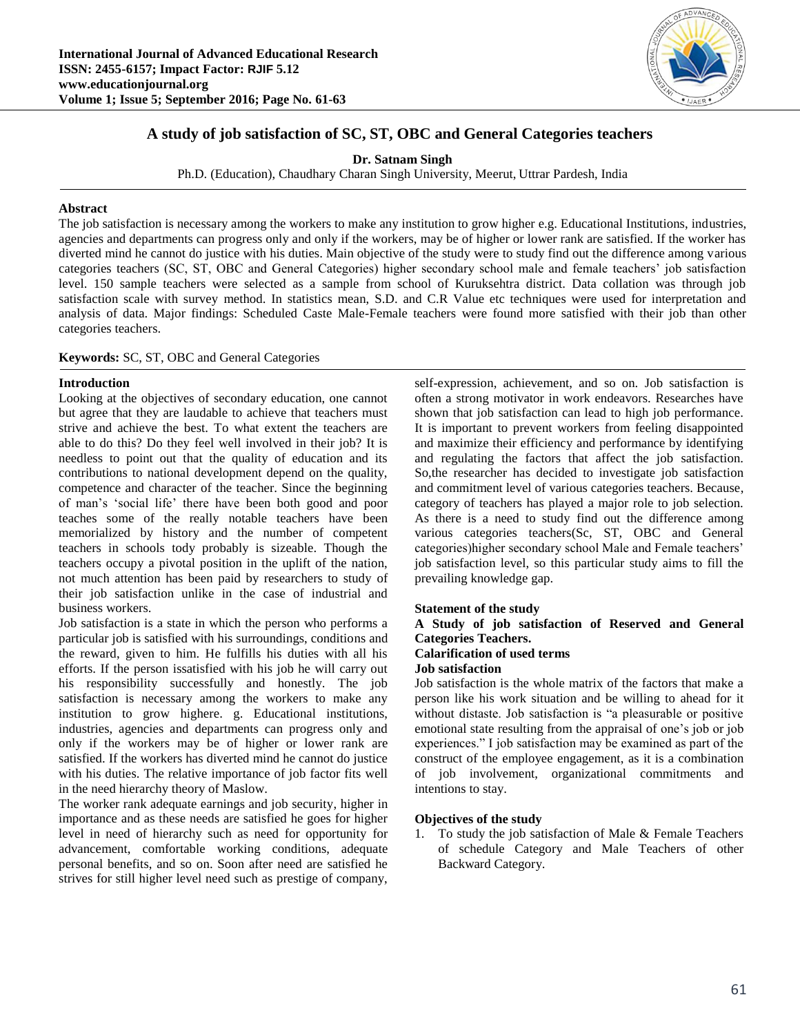

# **A study of job satisfaction of SC, ST, OBC and General Categories teachers**

**Dr. Satnam Singh**

Ph.D. (Education), Chaudhary Charan Singh University, Meerut, Uttrar Pardesh, India

# **Abstract**

The job satisfaction is necessary among the workers to make any institution to grow higher e.g. Educational Institutions, industries, agencies and departments can progress only and only if the workers, may be of higher or lower rank are satisfied. If the worker has diverted mind he cannot do justice with his duties. Main objective of the study were to study find out the difference among various categories teachers (SC, ST, OBC and General Categories) higher secondary school male and female teachers' job satisfaction level. 150 sample teachers were selected as a sample from school of Kuruksehtra district. Data collation was through job satisfaction scale with survey method. In statistics mean, S.D. and C.R Value etc techniques were used for interpretation and analysis of data. Major findings: Scheduled Caste Male-Female teachers were found more satisfied with their job than other categories teachers.

#### **Keywords:** SC, ST, OBC and General Categories

#### **Introduction**

Looking at the objectives of secondary education, one cannot but agree that they are laudable to achieve that teachers must strive and achieve the best. To what extent the teachers are able to do this? Do they feel well involved in their job? It is needless to point out that the quality of education and its contributions to national development depend on the quality, competence and character of the teacher. Since the beginning of man's 'social life' there have been both good and poor teaches some of the really notable teachers have been memorialized by history and the number of competent teachers in schools tody probably is sizeable. Though the teachers occupy a pivotal position in the uplift of the nation, not much attention has been paid by researchers to study of their job satisfaction unlike in the case of industrial and business workers.

Job satisfaction is a state in which the person who performs a particular job is satisfied with his surroundings, conditions and the reward, given to him. He fulfills his duties with all his efforts. If the person issatisfied with his job he will carry out his responsibility successfully and honestly. The job satisfaction is necessary among the workers to make any institution to grow highere. g. Educational institutions, industries, agencies and departments can progress only and only if the workers may be of higher or lower rank are satisfied. If the workers has diverted mind he cannot do justice with his duties. The relative importance of job factor fits well in the need hierarchy theory of Maslow.

The worker rank adequate earnings and job security, higher in importance and as these needs are satisfied he goes for higher level in need of hierarchy such as need for opportunity for advancement, comfortable working conditions, adequate personal benefits, and so on. Soon after need are satisfied he strives for still higher level need such as prestige of company,

self-expression, achievement, and so on. Job satisfaction is often a strong motivator in work endeavors. Researches have shown that job satisfaction can lead to high job performance. It is important to prevent workers from feeling disappointed and maximize their efficiency and performance by identifying and regulating the factors that affect the job satisfaction. So,the researcher has decided to investigate job satisfaction and commitment level of various categories teachers. Because, category of teachers has played a major role to job selection. As there is a need to study find out the difference among various categories teachers(Sc, ST, OBC and General categories)higher secondary school Male and Female teachers' job satisfaction level, so this particular study aims to fill the prevailing knowledge gap.

# **Statement of the study**

### **A Study of job satisfaction of Reserved and General Categories Teachers.**

# **Calarification of used terms**

# **Job satisfaction**

Job satisfaction is the whole matrix of the factors that make a person like his work situation and be willing to ahead for it without distaste. Job satisfaction is "a pleasurable or positive emotional state resulting from the appraisal of one's job or job experiences." I job satisfaction may be examined as part of the construct of the employee engagement, as it is a combination of job involvement, organizational commitments and intentions to stay.

#### **Objectives of the study**

1. To study the job satisfaction of Male & Female Teachers of schedule Category and Male Teachers of other Backward Category.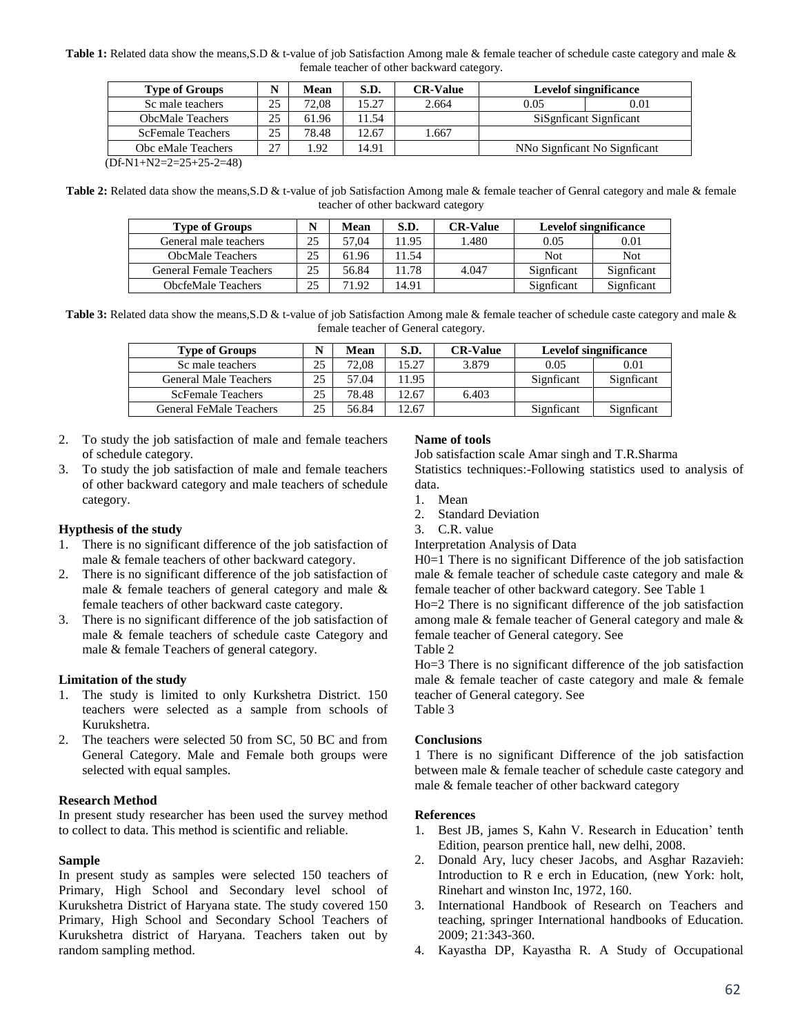**Table 1:** Related data show the means,S.D & t-value of job Satisfaction Among male & female teacher of schedule caste category and male & female teacher of other backward category.

| <b>Type of Groups</b>   |    | Mean  | S.D.  | <b>CR-Value</b> | <b>Levelof singnificance</b> |                              |  |
|-------------------------|----|-------|-------|-----------------|------------------------------|------------------------------|--|
| Sc male teachers        | 25 | 72.08 | 15.27 | 2.664           | 0.05                         | 0.01                         |  |
| <b>ObcMale Teachers</b> | 25 | 61.96 | 1.54  |                 | SiSgnficant Signficant       |                              |  |
| ScFemale Teachers       | 25 | 78.48 | 12.67 | 1.667           |                              |                              |  |
| Obc eMale Teachers      | 27 | .92   | 14.91 |                 |                              | NNo Signficant No Signficant |  |
|                         |    |       |       |                 |                              |                              |  |

(Df-N1+N2=2=25+25-2=48)

**Table 2:** Related data show the means,S.D & t-value of job Satisfaction Among male & female teacher of Genral category and male & female teacher of other backward category

| <b>Type of Groups</b>     |    | Mean  | S.D.  | <b>CR-Value</b> | <b>Levelof singnificance</b> |            |
|---------------------------|----|-------|-------|-----------------|------------------------------|------------|
| General male teachers     |    | 57.04 | 11.95 | 1.480           | 0.05                         | 0.01       |
| <b>ObcMale Teachers</b>   | 25 | 61.96 | 11.54 |                 | <b>Not</b>                   | Not.       |
| General Female Teachers   | 25 | 56.84 | 11.78 | 4.047           | Signficant                   | Signficant |
| <b>ObcfeMale Teachers</b> |    | 1.92  | 14.91 |                 | Signficant                   | Signficant |

Table 3: Related data show the means, S.D & t-value of job Satisfaction Among male & female teacher of schedule caste category and male & female teacher of General category.

| <b>Type of Groups</b>        | N  | Mean  | S.D.  | <b>CR-Value</b> | <b>Levelof singnificance</b> |            |
|------------------------------|----|-------|-------|-----------------|------------------------------|------------|
| Sc male teachers             | 25 | 72.08 | 15.27 | 3.879           | 0.05                         | 0.01       |
| <b>General Male Teachers</b> | 25 | 57.04 | 11.95 |                 | Signficant                   | Signficant |
| <b>ScFemale Teachers</b>     | 25 | 78.48 | 12.67 | 6.403           |                              |            |
| General FeMale Teachers      | 25 | 56.84 | 12.67 |                 | Signficant                   | Signficant |

- 2. To study the job satisfaction of male and female teachers of schedule category.
- 3. To study the job satisfaction of male and female teachers of other backward category and male teachers of schedule category.

# **Hypthesis of the study**

- 1. There is no significant difference of the job satisfaction of male & female teachers of other backward category.
- 2. There is no significant difference of the job satisfaction of male & female teachers of general category and male & female teachers of other backward caste category.
- 3. There is no significant difference of the job satisfaction of male & female teachers of schedule caste Category and male & female Teachers of general category.

# **Limitation of the study**

- 1. The study is limited to only Kurkshetra District. 150 teachers were selected as a sample from schools of Kurukshetra.
- 2. The teachers were selected 50 from SC, 50 BC and from General Category. Male and Female both groups were selected with equal samples.

#### **Research Method**

In present study researcher has been used the survey method to collect to data. This method is scientific and reliable.

#### **Sample**

In present study as samples were selected 150 teachers of Primary, High School and Secondary level school of Kurukshetra District of Haryana state. The study covered 150 Primary, High School and Secondary School Teachers of Kurukshetra district of Haryana. Teachers taken out by random sampling method.

# **Name of tools**

Job satisfaction scale Amar singh and T.R.Sharma Statistics techniques:-Following statistics used to analysis of data.

- 1. Mean
- 2. Standard Deviation
- 3. C.R. value
- Interpretation Analysis of Data

H0=1 There is no significant Difference of the job satisfaction male & female teacher of schedule caste category and male & female teacher of other backward category. See Table 1

Ho=2 There is no significant difference of the job satisfaction among male & female teacher of General category and male & female teacher of General category. See

Table 2

Ho=3 There is no significant difference of the job satisfaction male & female teacher of caste category and male & female teacher of General category. See Table 3

# **Conclusions**

1 There is no significant Difference of the job satisfaction between male & female teacher of schedule caste category and male & female teacher of other backward category

#### **References**

- 1. Best JB, james S, Kahn V. Research in Education' tenth Edition, pearson prentice hall, new delhi, 2008.
- 2. Donald Ary, lucy cheser Jacobs, and Asghar Razavieh: Introduction to R e erch in Education, (new York: holt, Rinehart and winston Inc, 1972, 160.
- 3. International Handbook of Research on Teachers and teaching, springer International handbooks of Education. 2009; 21:343-360.
- 4. Kayastha DP, Kayastha R. A Study of Occupational